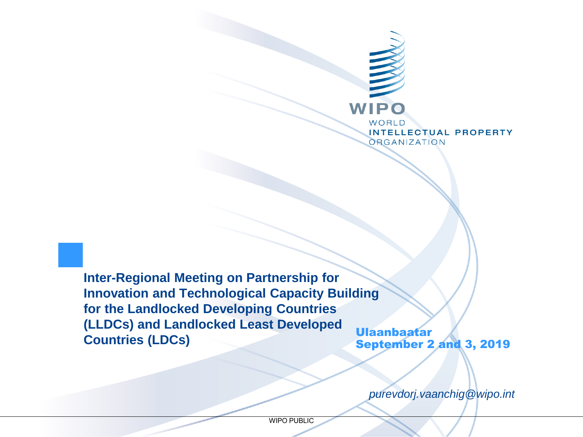

**Inter-Regional Meeting on Partnership for Innovation and Technological Capacity Building for the Landlocked Developing Countries (LLDCs) and Landlocked Least Developed Countries (LDCs)** Ulaanbaatar

September 2 and 3, 2019

*purevdorj.vaanchig@wipo.int*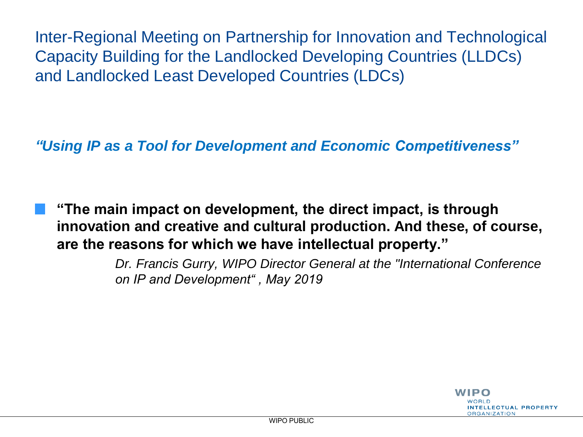Inter-Regional Meeting on Partnership for Innovation and Technological Capacity Building for the Landlocked Developing Countries (LLDCs) and Landlocked Least Developed Countries (LDCs)

*"Using IP as a Tool for Development and Economic Competitiveness"* 

**"The main impact on development, the direct impact, is through innovation and creative and cultural production. And these, of course, are the reasons for which we have intellectual property."** 

> *Dr. Francis Gurry, WIPO Director General at the "International Conference on IP and Development" , May 2019*

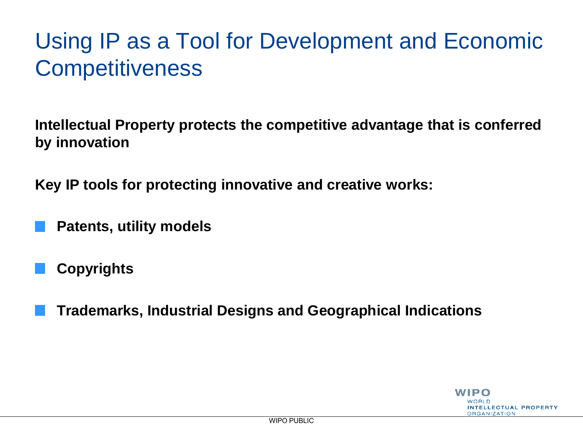# Using IP as a Tool for Development and Economic **Competitiveness**

**Intellectual Property protects the competitive advantage that is conferred by innovation**

**Key IP tools for protecting innovative and creative works:**

**Patents, utility models** 

**Copyrights**

**Trademarks, Industrial Designs and Geographical Indications**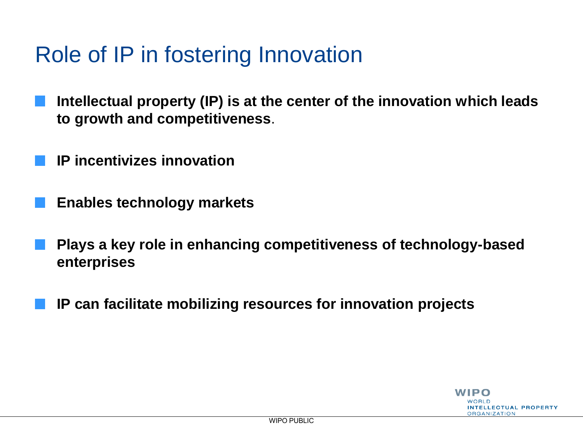### Role of IP in fostering Innovation

- **Intellectual property (IP) is at the center of the innovation which leads to growth and competitiveness**.
- **IP incentivizes innovation**
- **Enables technology markets**
- **Plays a key role in enhancing competitiveness of technology-based enterprises**
- **IP can facilitate mobilizing resources for innovation projects**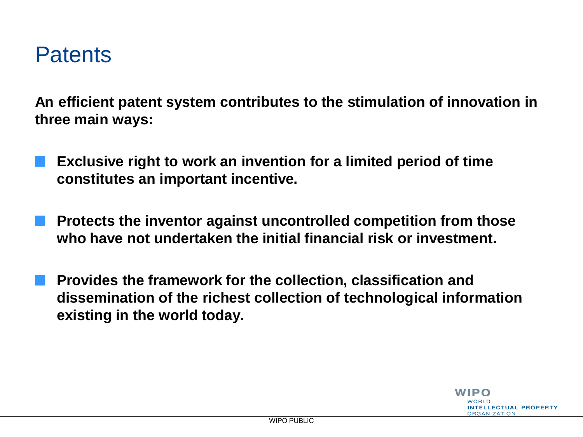### **Patents**

**An efficient patent system contributes to the stimulation of innovation in three main ways:**

- **Exclusive right to work an invention for a limited period of time constitutes an important incentive.**
- **Protects the inventor against uncontrolled competition from those who have not undertaken the initial financial risk or investment.**
- **Provides the framework for the collection, classification and dissemination of the richest collection of technological information existing in the world today.**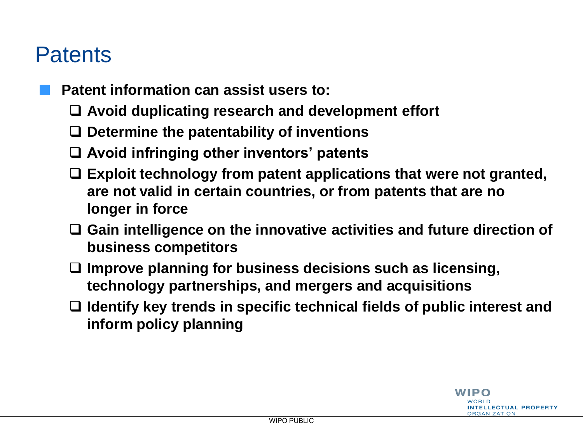### **Patents**

- **Patent information can assist users to:**
	- **Avoid duplicating research and development effort**
	- **Determine the patentability of inventions**
	- **Avoid infringing other inventors' patents**
	- **Exploit technology from patent applications that were not granted, are not valid in certain countries, or from patents that are no longer in force**
	- **Gain intelligence on the innovative activities and future direction of business competitors**
	- **Improve planning for business decisions such as licensing, technology partnerships, and mergers and acquisitions**
	- **Identify key trends in specific technical fields of public interest and inform policy planning**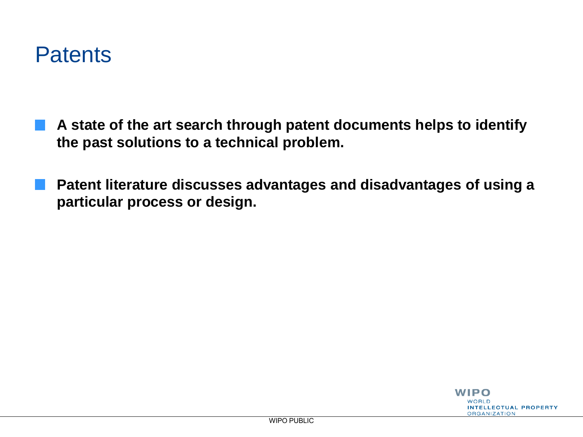

- **A state of the art search through patent documents helps to identify the past solutions to a technical problem.**
- **Patent literature discusses advantages and disadvantages of using a particular process or design.**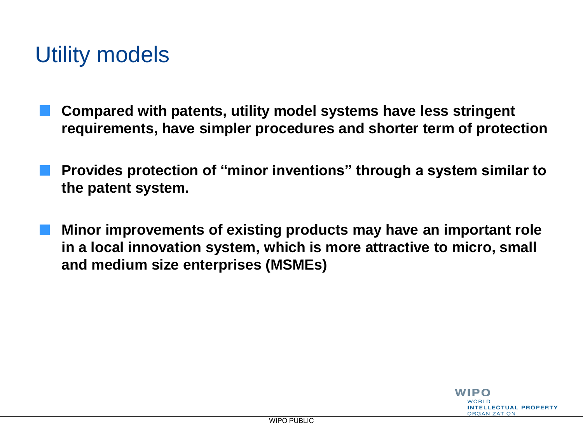### Utility models

- **Compared with patents, utility model systems have less stringent requirements, have simpler procedures and shorter term of protection**
- **Provides protection of "minor inventions" through a system similar to the patent system.**
- **Minor improvements of existing products may have an important role in a local innovation system, which is more attractive to micro, small and medium size enterprises (MSMEs)**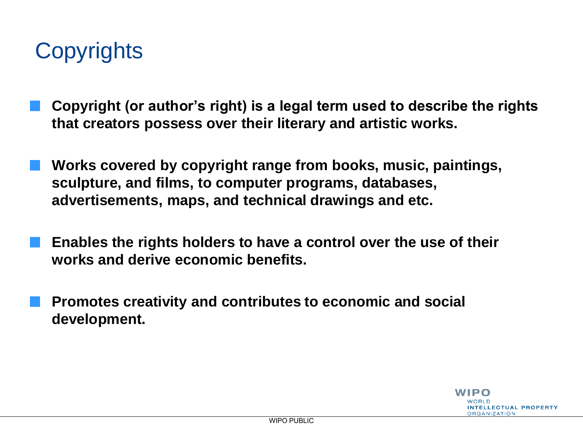# **Copyrights**

- **Copyright (or author's right) is a legal term used to describe the rights that creators possess over their literary and artistic works.**
- **Works covered by copyright range from books, music, paintings, sculpture, and films, to computer programs, databases, advertisements, maps, and technical drawings and etc.** 
	- **Enables the rights holders to have a control over the use of their works and derive economic benefits.**
	- **Promotes creativity and contributes to economic and social development.**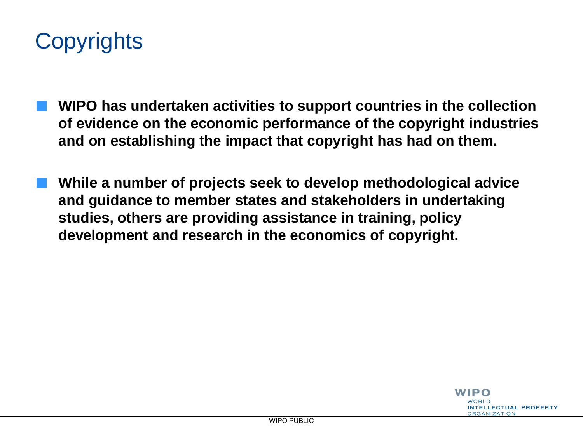

- **WIPO has undertaken activities to support countries in the collection of evidence on the economic performance of the copyright industries and on establishing the impact that copyright has had on them.**
- **While a number of projects seek to develop methodological advice and guidance to member states and stakeholders in undertaking studies, others are providing assistance in training, policy development and research in the economics of copyright.**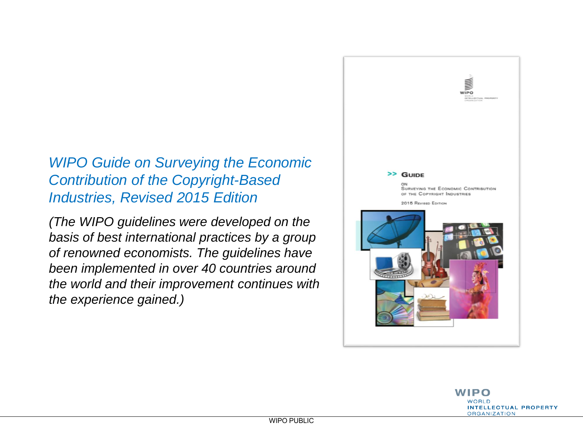#### *WIPO Guide on Surveying the Economic Contribution of the Copyright-Based Industries, Revised 2015 Edition*

*(The WIPO guidelines were developed on the basis of best international practices by a group of renowned economists. The guidelines have been implemented in over 40 countries around the world and their improvement continues with the experience gained.)*

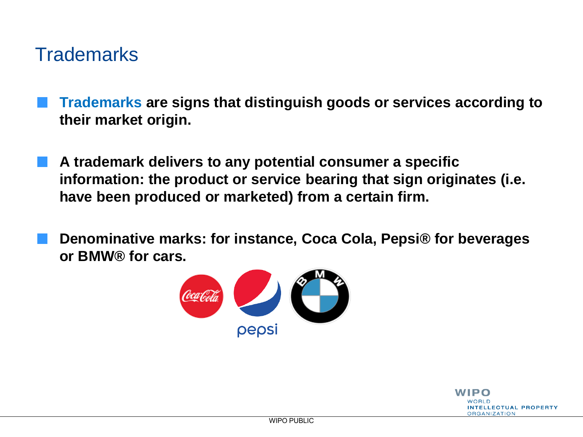### **Trademarks**

- **Trademarks are signs that distinguish goods or services according to their market origin.**
- **A trademark delivers to any potential consumer a specific information: the product or service bearing that sign originates (i.e. have been produced or marketed) from a certain firm.**
- **Denominative marks: for instance, Coca Cola, Pepsi® for beverages or BMW® for cars.**



WIPO **JOBI D INTELLECTUAL PROPERTY ORGANIZATION**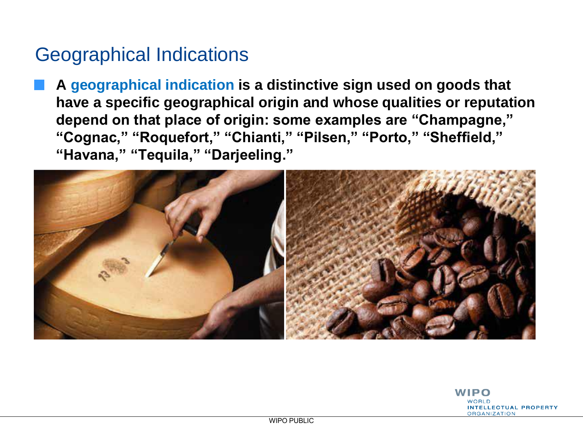### Geographical Indications

**A geographical indication is a distinctive sign used on goods that have a specific geographical origin and whose qualities or reputation depend on that place of origin: some examples are "Champagne," "Cognac," "Roquefort," "Chianti," "Pilsen," "Porto," "Sheffield," "Havana," "Tequila," "Darjeeling."**



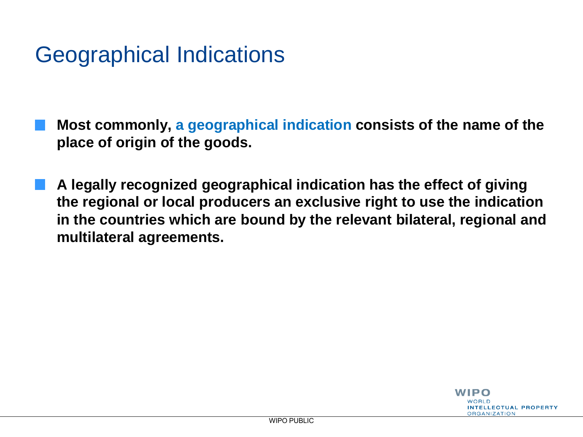# Geographical Indications

- **Most commonly, a geographical indication consists of the name of the place of origin of the goods.**
- **A legally recognized geographical indication has the effect of giving the regional or local producers an exclusive right to use the indication in the countries which are bound by the relevant bilateral, regional and multilateral agreements.**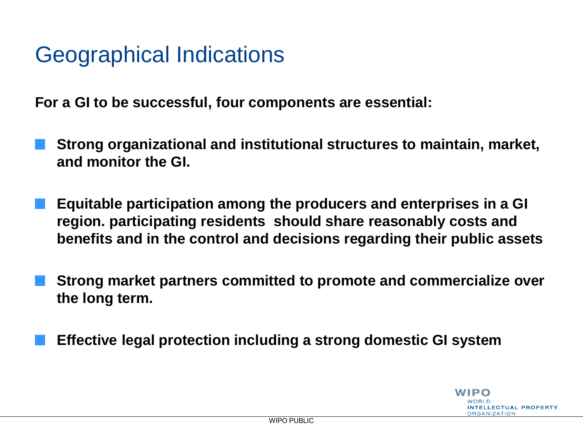### Geographical Indications

**For a GI to be successful, four components are essential:**

- **Strong organizational and institutional structures to maintain, market, and monitor the GI.**
- **Equitable participation among the producers and enterprises in a GI region. participating residents should share reasonably costs and benefits and in the control and decisions regarding their public assets**
- **Strong market partners committed to promote and commercialize over the long term.**
- **Effective legal protection including a strong domestic GI system**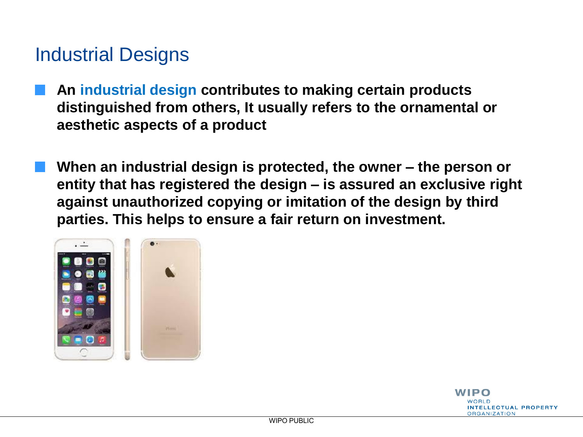### Industrial Designs

- **An industrial design contributes to making certain products distinguished from others, It usually refers to the ornamental or aesthetic aspects of a product**
	- **When an industrial design is protected, the owner – the person or entity that has registered the design – is assured an exclusive right against unauthorized copying or imitation of the design by third parties. This helps to ensure a fair return on investment.**



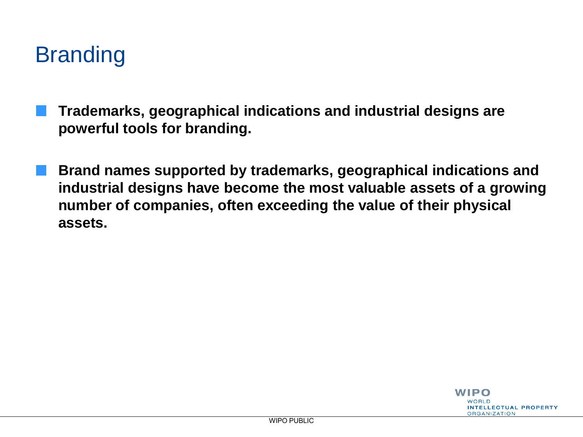# **Branding**

- **Trademarks, geographical indications and industrial designs are powerful tools for branding.** 
	- **Brand names supported by trademarks, geographical indications and industrial designs have become the most valuable assets of a growing number of companies, often exceeding the value of their physical assets.**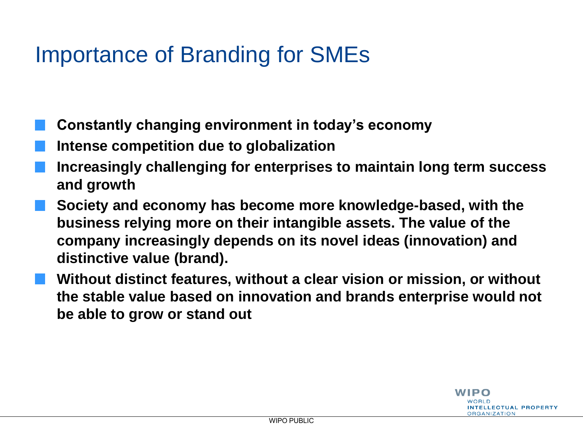# Importance of Branding for SMEs

- **Constantly changing environment in today's economy**
- **Intense competition due to globalization**
- **Increasingly challenging for enterprises to maintain long term success and growth**
- **Society and economy has become more knowledge-based, with the business relying more on their intangible assets. The value of the company increasingly depends on its novel ideas (innovation) and distinctive value (brand).**
- **Without distinct features, without a clear vision or mission, or without the stable value based on innovation and brands enterprise would not be able to grow or stand out**